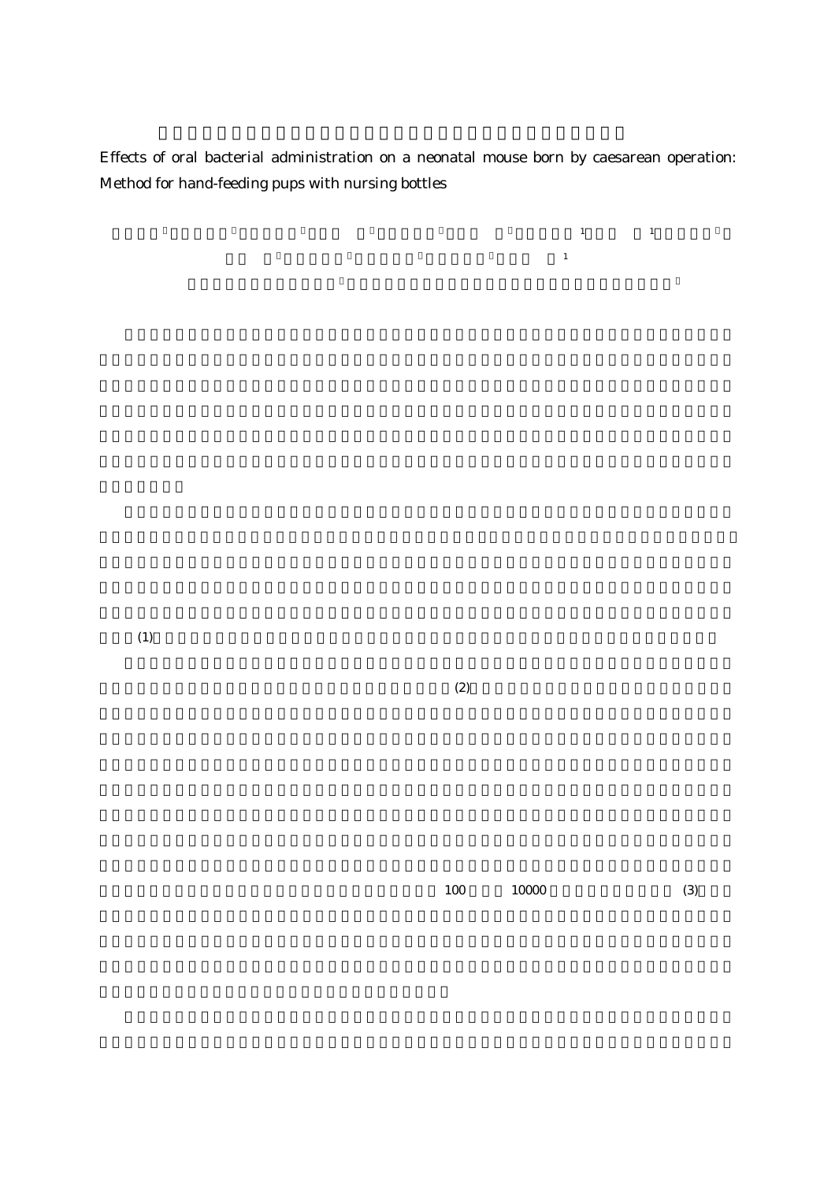Effects of oral bacterial administration on a neonatal mouse born by caesarean operation: Method for hand-feeding pups with nursing bottles

 $\mathbf{1}$ 

 $(1)$  ,  $(1)$  ,  $(1)$  ,  $(1)$ 

 $(1)$ 

 $(2)$ 

 $100 \qquad \qquad 10000 \qquad \qquad (3)$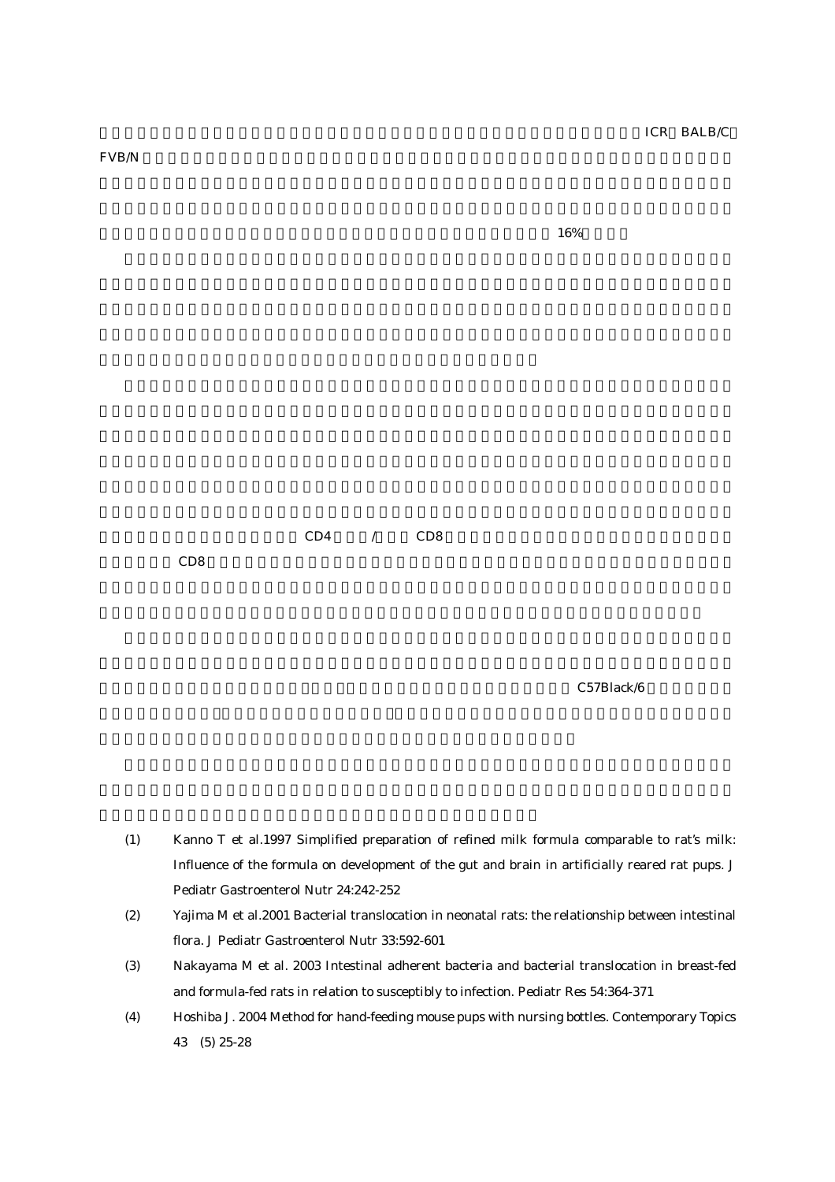$\text{FVB}/\text{N}$ 

 $16\%$ 



 $CD8$ 

C57Black/6

- (1) Kanno T et al.1997 Simplified preparation of refined milk formula comparable to rat's milk: Influence of the formula on development of the gut and brain in artificially reared rat pups. J Pediatr Gastroenterol Nutr 24:242-252
- (2) Yajima M et al.2001 Bacterial translocation in neonatal rats: the relationship between intestinal flora. J Pediatr Gastroenterol Nutr 33:592-601
- (3) Nakayama M et al. 2003 Intestinal adherent bacteria and bacterial translocation in breast-fed and formula-fed rats in relation to susceptibly to infection. Pediatr Res 54:364-371
- (4) Hoshiba J. 2004 Method for hand-feeding mouse pups with nursing bottles. Contemporary Topics 43 (5) 25-28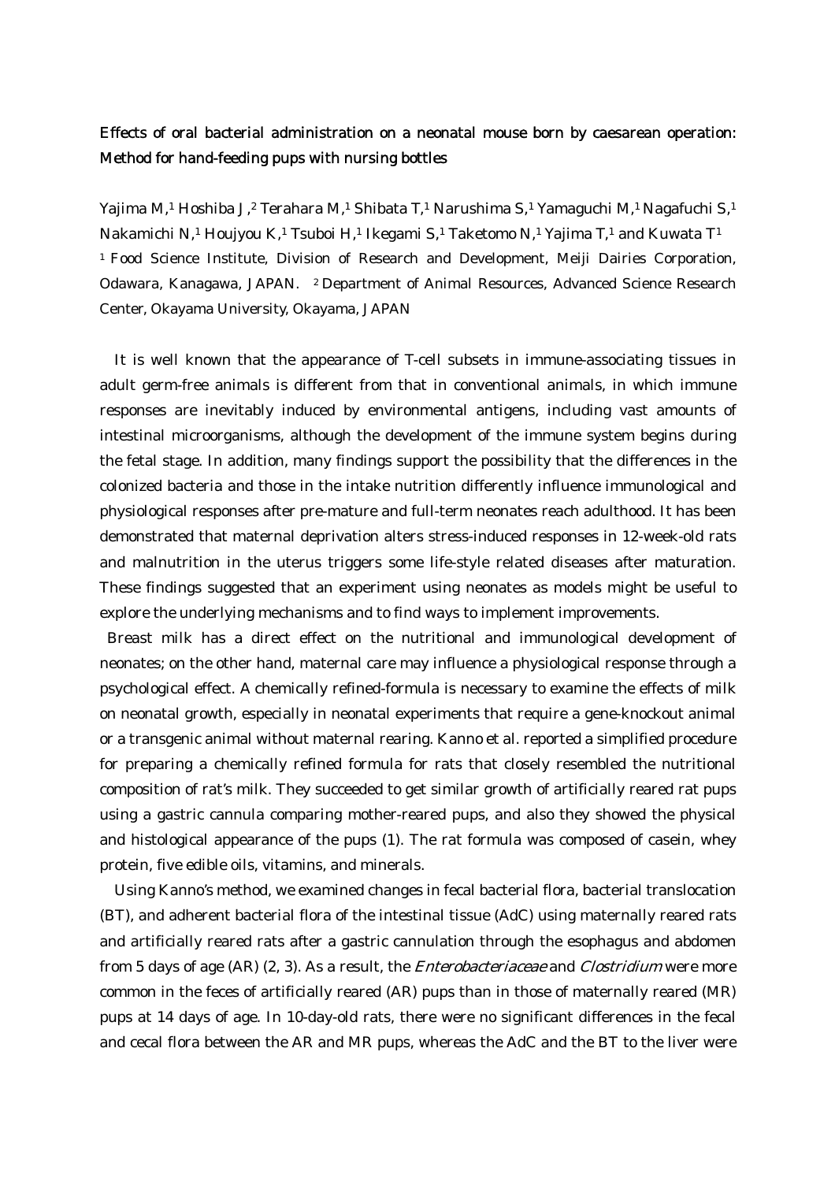## Effects of oral bacterial administration on a neonatal mouse born by caesarean operation: Method for hand-feeding pups with nursing bottles

Yajima M,1 Hoshiba J,2 Terahara M,1 Shibata T,1 Narushima S,1 Yamaguchi M,1 Nagafuchi S,1 Nakamichi N,1 Houjyou K,1 Tsuboi H,1 Ikegami S,1 Taketomo N,1 Yajima T,1 and Kuwata T1 1 Food Science Institute, Division of Research and Development, Meiji Dairies Corporation, Odawara, Kanagawa, JAPAN. 2 Department of Animal Resources, Advanced Science Research Center, Okayama University, Okayama, JAPAN

It is well known that the appearance of T-cell subsets in immune-associating tissues in adult germ-free animals is different from that in conventional animals, in which immune responses are inevitably induced by environmental antigens, including vast amounts of intestinal microorganisms, although the development of the immune system begins during the fetal stage. In addition, many findings support the possibility that the differences in the colonized bacteria and those in the intake nutrition differently influence immunological and physiological responses after pre-mature and full-term neonates reach adulthood. It has been demonstrated that maternal deprivation alters stress-induced responses in 12-week-old rats and malnutrition in the uterus triggers some life-style related diseases after maturation. These findings suggested that an experiment using neonates as models might be useful to explore the underlying mechanisms and to find ways to implement improvements.

 Breast milk has a direct effect on the nutritional and immunological development of neonates; on the other hand, maternal care may influence a physiological response through a psychological effect. A chemically refined-formula is necessary to examine the effects of milk on neonatal growth, especially in neonatal experiments that require a gene-knockout animal or a transgenic animal without maternal rearing. Kanno et al. reported a simplified procedure for preparing a chemically refined formula for rats that closely resembled the nutritional composition of rat's milk. They succeeded to get similar growth of artificially reared rat pups using a gastric cannula comparing mother-reared pups, and also they showed the physical and histological appearance of the pups (1). The rat formula was composed of casein, whey protein, five edible oils, vitamins, and minerals.

 Using Kanno's method, we examined changes in fecal bacterial flora, bacterial translocation (BT), and adherent bacterial flora of the intestinal tissue (AdC) using maternally reared rats and artificially reared rats after a gastric cannulation through the esophagus and abdomen from 5 days of age (AR) (2, 3). As a result, the *Enterobacteriaceae* and *Clostridium* were more common in the feces of artificially reared (AR) pups than in those of maternally reared (MR) pups at 14 days of age. In 10-day-old rats, there were no significant differences in the fecal and cecal flora between the AR and MR pups, whereas the AdC and the BT to the liver were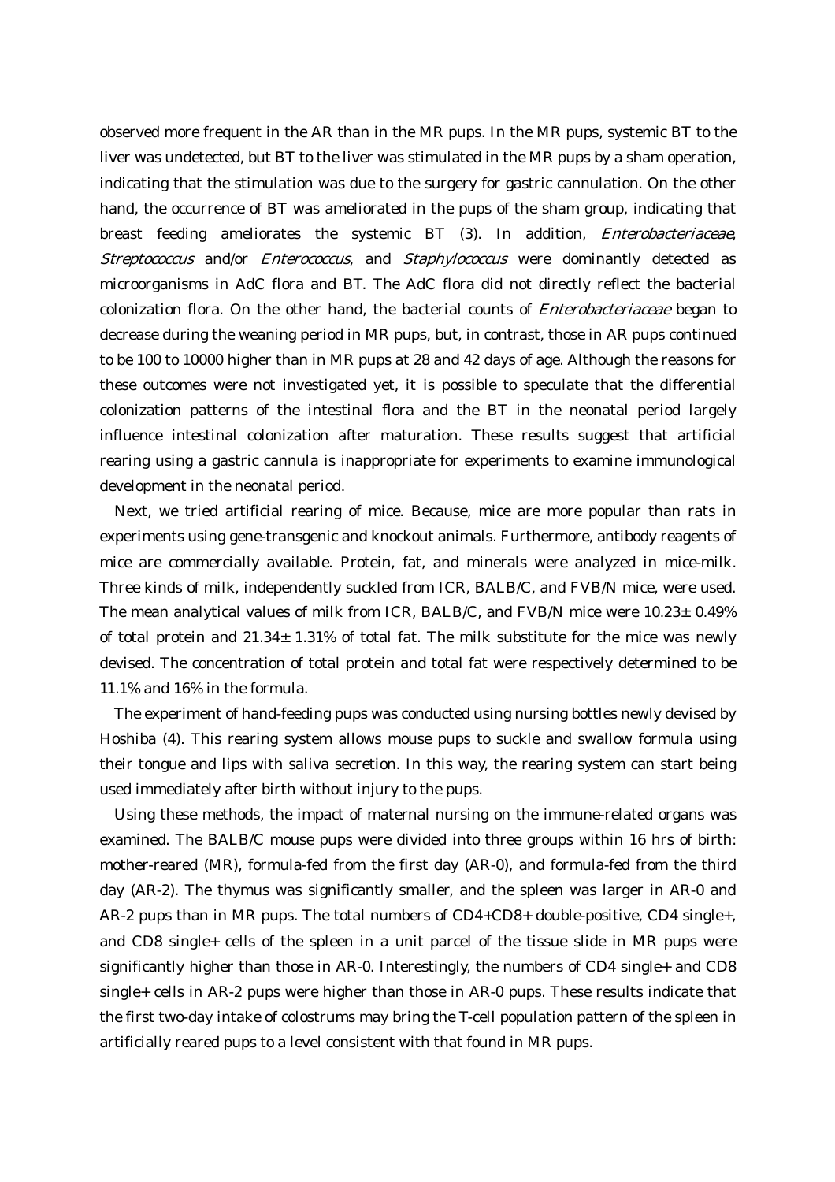observed more frequent in the AR than in the MR pups. In the MR pups, systemic BT to the liver was undetected, but BT to the liver was stimulated in the MR pups by a sham operation, indicating that the stimulation was due to the surgery for gastric cannulation. On the other hand, the occurrence of BT was ameliorated in the pups of the sham group, indicating that breast feeding ameliorates the systemic BT (3). In addition, Enterobacteriaceae, Streptococcus and/or Enterococcus, and Staphylococcus were dominantly detected as microorganisms in AdC flora and BT. The AdC flora did not directly reflect the bacterial colonization flora. On the other hand, the bacterial counts of Enterobacteriaceae began to decrease during the weaning period in MR pups, but, in contrast, those in AR pups continued to be 100 to 10000 higher than in MR pups at 28 and 42 days of age. Although the reasons for these outcomes were not investigated yet, it is possible to speculate that the differential colonization patterns of the intestinal flora and the BT in the neonatal period largely influence intestinal colonization after maturation. These results suggest that artificial rearing using a gastric cannula is inappropriate for experiments to examine immunological development in the neonatal period.

 Next, we tried artificial rearing of mice. Because, mice are more popular than rats in experiments using gene-transgenic and knockout animals. Furthermore, antibody reagents of mice are commercially available. Protein, fat, and minerals were analyzed in mice-milk. Three kinds of milk, independently suckled from ICR, BALB/C, and FVB/N mice, were used. The mean analytical values of milk from ICR, BALB/C, and FVB/N mice were  $10.23 \pm 0.49\%$ of total protein and  $21.34 \pm 1.31\%$  of total fat. The milk substitute for the mice was newly devised. The concentration of total protein and total fat were respectively determined to be 11.1% and 16% in the formula.

 The experiment of hand-feeding pups was conducted using nursing bottles newly devised by Hoshiba (4). This rearing system allows mouse pups to suckle and swallow formula using their tongue and lips with saliva secretion. In this way, the rearing system can start being used immediately after birth without injury to the pups.

 Using these methods, the impact of maternal nursing on the immune-related organs was examined. The BALB/C mouse pups were divided into three groups within 16 hrs of birth: mother-reared (MR), formula-fed from the first day (AR-0), and formula-fed from the third day (AR-2). The thymus was significantly smaller, and the spleen was larger in AR-0 and AR-2 pups than in MR pups. The total numbers of CD4+CD8+ double-positive, CD4 single+, and CD8 single+ cells of the spleen in a unit parcel of the tissue slide in MR pups were significantly higher than those in AR-0. Interestingly, the numbers of CD4 single+ and CD8 single+ cells in AR-2 pups were higher than those in AR-0 pups. These results indicate that the first two-day intake of colostrums may bring the T-cell population pattern of the spleen in artificially reared pups to a level consistent with that found in MR pups.